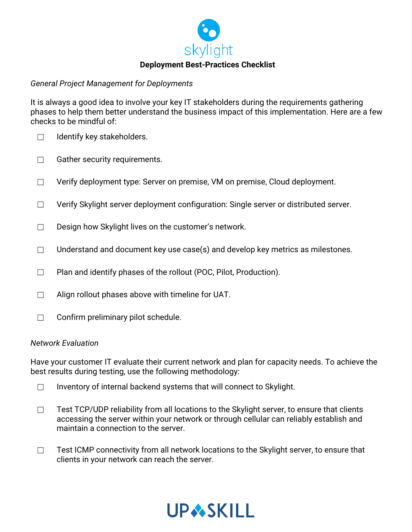

### *General Project Management for Deployments*

It is always a good idea to involve your key IT stakeholders during the requirements gathering phases to help them better understand the business impact of this implementation. Here are a few checks to be mindful of:

- $\Box$  Identify key stakeholders.
- □ Gather security requirements.
- ☐ Verify deployment type: Server on premise, VM on premise, Cloud deployment.
- ☐ Verify Skylight server deployment configuration: Single server or distributed server.
- □ Design how Skylight lives on the customer's network.
- $\Box$  Understand and document key use case(s) and develop key metrics as milestones.
- ☐ Plan and identify phases of the rollout (POC, Pilot, Production).
- $\Box$  Align rollout phases above with timeline for UAT.
- $\Box$  Confirm preliminary pilot schedule.

#### *Network Evaluation*

Have your customer IT evaluate their current network and plan for capacity needs. To achieve the best results during testing, use the following methodology:

- $\Box$  Inventory of internal backend systems that will connect to Skylight.
- $\Box$  Test TCP/UDP reliability from all locations to the Skylight server, to ensure that clients accessing the server within your network or through cellular can reliably establish and maintain a connection to the server.
- □ Test ICMP connectivity from all network locations to the Skylight server, to ensure that clients in your network can reach the server.

# **UPASKILL**